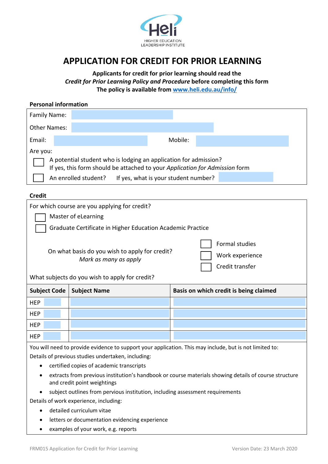

# **APPLICATION FOR CREDIT FOR PRIOR LEARNING**

**Applicants for credit for prior learning should read the** *Credit for Prior Learning Policy and Procedure* **before completing this form The policy is available from www.heli.edu.au/info/**

## **Personal information**

| Family Name:                                                                                                                                    |  |                      |  |                                      |  |  |  |
|-------------------------------------------------------------------------------------------------------------------------------------------------|--|----------------------|--|--------------------------------------|--|--|--|
| <b>Other Names:</b>                                                                                                                             |  |                      |  |                                      |  |  |  |
| Email:                                                                                                                                          |  |                      |  | Mobile:                              |  |  |  |
| Are you:                                                                                                                                        |  |                      |  |                                      |  |  |  |
| A potential student who is lodging an application for admission?<br>If yes, this form should be attached to your Application for Admission form |  |                      |  |                                      |  |  |  |
|                                                                                                                                                 |  | An enrolled student? |  | If yes, what is your student number? |  |  |  |

#### **Credit**

**HEP** 

| For which course are you applying for credit?<br>Master of eLearning |                                                                                                                           |                                                             |  |  |  |  |  |  |
|----------------------------------------------------------------------|---------------------------------------------------------------------------------------------------------------------------|-------------------------------------------------------------|--|--|--|--|--|--|
|                                                                      |                                                                                                                           |                                                             |  |  |  |  |  |  |
| Graduate Certificate in Higher Education Academic Practice           |                                                                                                                           |                                                             |  |  |  |  |  |  |
|                                                                      | On what basis do you wish to apply for credit?<br>Mark as many as apply<br>What subjects do you wish to apply for credit? | <b>Formal studies</b><br>Work experience<br>Credit transfer |  |  |  |  |  |  |
| <b>Subject Code</b>                                                  | <b>Subject Name</b>                                                                                                       | Basis on which credit is being claimed                      |  |  |  |  |  |  |
| <b>HEP</b>                                                           |                                                                                                                           |                                                             |  |  |  |  |  |  |
| <b>HEP</b>                                                           |                                                                                                                           |                                                             |  |  |  |  |  |  |
| <b>HEP</b>                                                           |                                                                                                                           |                                                             |  |  |  |  |  |  |

You will need to provide evidence to support your application. This may include, but is not limited to: Details of previous studies undertaken, including:

- certified copies of academic transcripts
- extracts from previous institution's handbook or course materials showing details of course structure and credit point weightings
- subject outlines from pervious institution, including assessment requirements

Details of work experience, including:

- detailed curriculum vitae
- letters or documentation evidencing experience
- examples of your work, e.g. reports